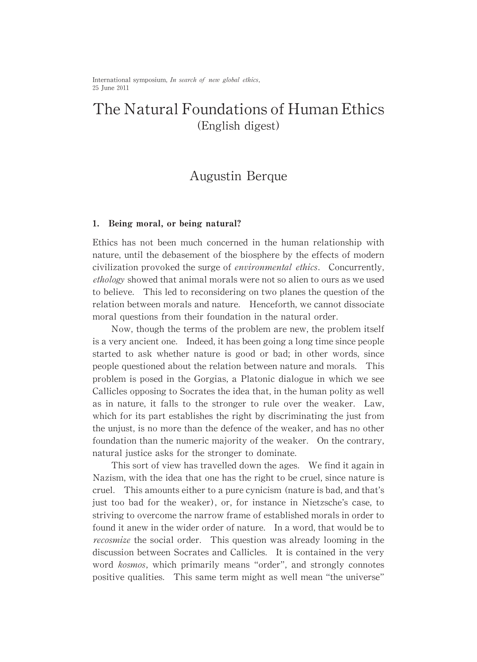International symposium, In search of new global ethics, 25 June 2011

# The Natural Foundations of Human Ethics (English digest)

## Augustin Berque

#### 1. Being moral, or being natural?

Ethics has not been much concerned in the human relationship with nature, until the debasement of the biosphere by the effects of modern civilization provoked the surge of *environmental ethics*. Concurrently, ethology showed that animal morals were not so alien to ours as we used to believe. This led to reconsidering on two planes the question of the relation between morals and nature. Henceforth, we cannot dissociate moral questions from their foundation in the natural order.

Now, though the terms of the problem are new, the problem itself is a very ancient one. Indeed, it has been going a long time since people started to ask whether nature is good or bad; in other words, since people questioned about the relation between nature and morals. This problem is posed in the Gorgias, a Platonic dialogue in which we see Callicles opposing to Socrates the idea that, in the human polity as well as in nature, it falls to the stronger to rule over the weaker. Law, which for its part establishes the right by discriminating the just from the unjust, is no more than the defence of the weaker, and has no other foundation than the numeric majority of the weaker. On the contrary, natural justice asks for the stronger to dominate.

This sort of view has travelled down the ages. We find it again in Nazism, with the idea that one has the right to be cruel, since nature is cruel. This amounts either to a pure cynicism (nature is bad, and that's just too bad for the weaker), or, for instance in Nietzsche's case, to striving to overcome the narrow frame of established morals in order to found it anew in the wider order of nature. In a word, that would be to *recosmize* the social order. This question was already looming in the discussion between Socrates and Callicles. It is contained in the very word kosmos, which primarily means "order", and strongly connotes positive qualities. This same term might as well mean "the universe"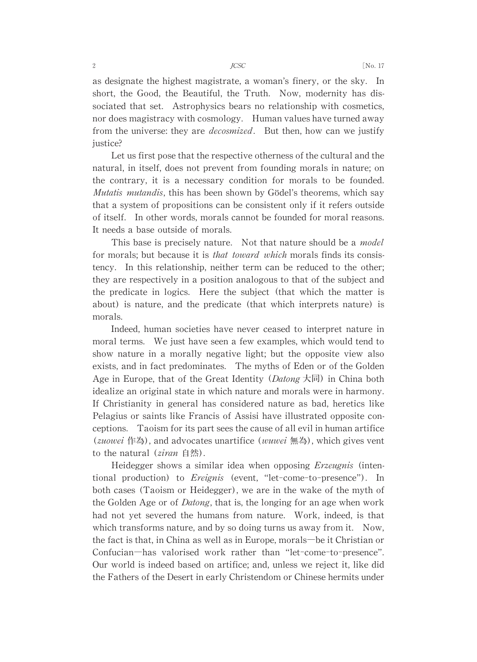**JCSC** 

as designate the highest magistrate, a woman's finery, or the sky. In short, the Good, the Beautiful, the Truth. Now, modernity has dissociated that set. Astrophysics bears no relationship with cosmetics, nor does magistracy with cosmology. Human values have turned away from the universe: they are *decosmized*. But then, how can we justify justice?

Let us first pose that the respective otherness of the cultural and the natural, in itself, does not prevent from founding morals in nature; on the contrary, it is a necessary condition for morals to be founded. *Mutatis mutandis*, this has been shown by Gödel's theorems, which say that a system of propositions can be consistent only if it refers outside of itself. In other words, morals cannot be founded for moral reasons. It needs a base outside of morals.

This base is precisely nature. Not that nature should be a *model* for morals; but because it is *that toward which* morals finds its consistency. In this relationship, neither term can be reduced to the other; they are respectively in a position analogous to that of the subject and the predicate in logics. Here the subject (that which the matter is about) is nature, and the predicate (that which interprets nature) is morals.

Indeed, human societies have never ceased to interpret nature in moral terms. We just have seen a few examples, which would tend to show nature in a morally negative light; but the opposite view also exists, and in fact predominates. The myths of Eden or of the Golden Age in Europe, that of the Great Identity (*Datong*  $\overline{\mathcal{K}}$ ) in China both idealize an original state in which nature and morals were in harmony. If Christianity in general has considered nature as bad, heretics like Pelagius or saints like Francis of Assisi have illustrated opposite conceptions. Taoism for its part sees the cause of all evil in human artifice (*zuowei* 作為), and advocates unartifice (*wuwei* 無為), which gives vent to the natural  $(ziran \oplus \overset{<}{\mathcal{B}})$ .

Heidegger shows a similar idea when opposing *Erzeugnis* (intentional production) to *Ereignis* (event, "let-come-to-presence"). In both cases (Taoism or Heidegger), we are in the wake of the myth of the Golden Age or of *Datong*, that is, the longing for an age when work had not yet severed the humans from nature. Work, indeed, is that which transforms nature, and by so doing turns us away from it. Now, the fact is that, in China as well as in Europe, morals—be it Christian or Confucian-has valorised work rather than "let-come-to-presence". Our world is indeed based on artifice; and, unless we reject it, like did the Fathers of the Desert in early Christendom or Chinese hermits under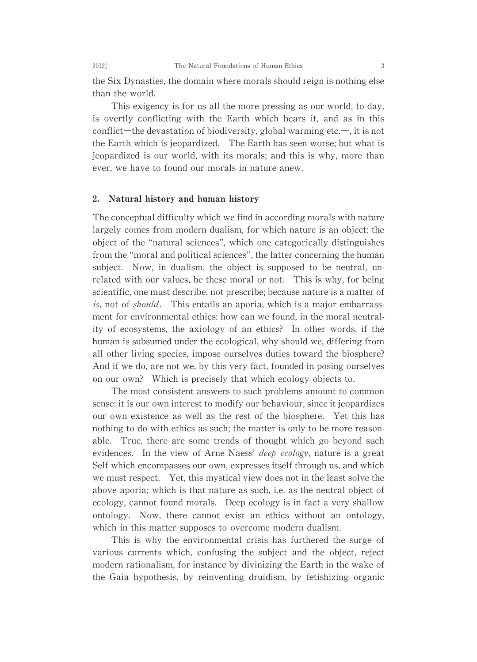the Six Dynasties, the domain where morals should reign is nothing else than the world.

This exigency is for us all the more pressing as our world, to day, is overtly conflicting with the Earth which bears it, and as in this conflict—the devastation of biodiversity, global warming etc.—, it is not the Earth which is jeopardized. The Earth has seen worse; but what is jeopardized is our world, with its morals; and this is why, more than ever, we have to found our morals in nature anew.

#### $2.$ Natural history and human history

The conceptual difficulty which we find in according morals with nature largely comes from modern dualism, for which nature is an object: the object of the "natural sciences", which one categorically distinguishes from the "moral and political sciences", the latter concerning the human subject. Now, in dualism, the object is supposed to be neutral, unrelated with our values, be these moral or not. This is why, for being scientific, one must describe, not prescribe; because nature is a matter of is, not of *should*. This entails an aporia, which is a major embarrassment for environmental ethics: how can we found, in the moral neutrality of ecosystems, the axiology of an ethics? In other words, if the human is subsumed under the ecological, why should we, differing from all other living species, impose ourselves duties toward the biosphere? And if we do, are not we, by this very fact, founded in posing ourselves on our own? Which is precisely that which ecology objects to.

The most consistent answers to such problems amount to common sense: it is our own interest to modify our behaviour, since it jeopardizes our own existence as well as the rest of the biosphere. Yet this has nothing to do with ethics as such; the matter is only to be more reasonable. True, there are some trends of thought which go beyond such evidences. In the view of Arne Naess' *deep* ecology, nature is a great Self which encompasses our own, expresses itself through us, and which we must respect. Yet, this mystical view does not in the least solve the above aporia; which is that nature as such, i.e. as the neutral object of ecology, cannot found morals. Deep ecology is in fact a very shallow ontology. Now, there cannot exist an ethics without an ontology, which in this matter supposes to overcome modern dualism.

This is why the environmental crisis has furthered the surge of various currents which, confusing the subject and the object, reject modern rationalism, for instance by divinizing the Earth in the wake of the Gaia hypothesis, by reinventing druidism, by fetishizing organic

2012]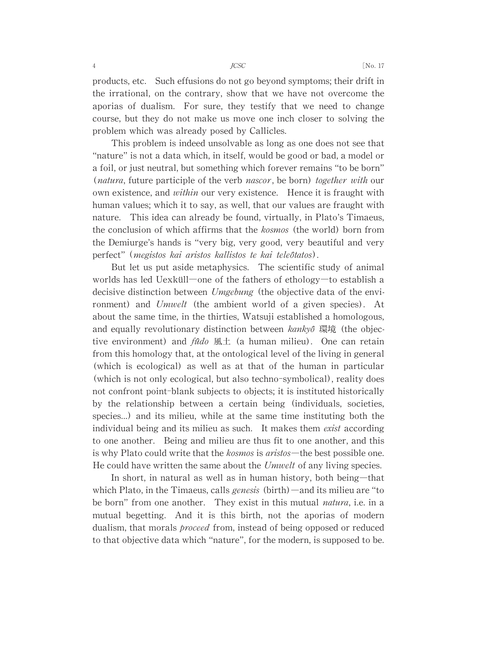products, etc. Such effusions do not go beyond symptoms; their drift in the irrational, on the contrary, show that we have not overcome the aporias of dualism. For sure, they testify that we need to change course, but they do not make us move one inch closer to solving the problem which was already posed by Callicles.

This problem is indeed unsolvable as long as one does not see that "nature" is not a data which, in itself, would be good or bad, a model or a foil, or just neutral, but something which forever remains "to be born" (*natura*, future participle of the verb *nascor*, be born) together with our own existence, and within our very existence. Hence it is fraught with human values; which it to say, as well, that our values are fraught with nature. This idea can already be found, virtually, in Plato's Timaeus, the conclusion of which affirms that the kosmos (the world) born from the Demiurge's hands is "very big, very good, very beautiful and very perfect" (megistos kai aristos kallistos te kai teleôtatos).

But let us put aside metaphysics. The scientific study of animal worlds has led Uexküll-one of the fathers of ethology-to establish a decisive distinction between *Umgebung* (the objective data of the environment) and Umwelt (the ambient world of a given species). At about the same time, in the thirties, Watsuji established a homologous, and equally revolutionary distinction between  $kanky\delta$  環境 (the objective environment) and  $f\hat{u}$ do 風土 (a human milieu). One can retain from this homology that, at the ontological level of the living in general (which is ecological) as well as at that of the human in particular (which is not only ecological, but also techno-symbolical), reality does not confront point-blank subjects to objects; it is instituted historically by the relationship between a certain being (individuals, societies, species...) and its milieu, while at the same time instituting both the individual being and its milieu as such. It makes them *exist* according to one another. Being and milieu are thus fit to one another, and this is why Plato could write that the *kosmos* is *aristos*—the best possible one. He could have written the same about the Umwelt of any living species.

In short, in natural as well as in human history, both being―that which Plato, in the Timaeus, calls *genesis* (birth)—and its milieu are "to be born" from one another. They exist in this mutual *natura*, i.e. in a mutual begetting. And it is this birth, not the aporias of modern dualism, that morals *proceed* from, instead of being opposed or reduced to that objective data which "nature", for the modern, is supposed to be.